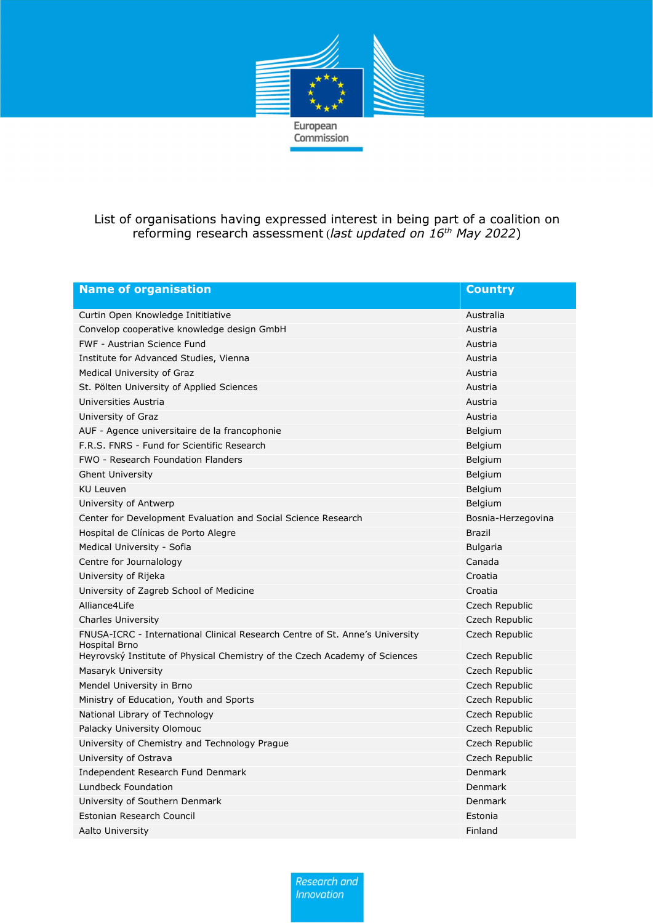

## List of organisations having expressed interest in being part of a coalition on reforming research assessment (last updated on  $16<sup>th</sup>$  May 2022)

| <b>Name of organisation</b>                                                                   | <b>Country</b>     |
|-----------------------------------------------------------------------------------------------|--------------------|
| Curtin Open Knowledge Inititiative                                                            | Australia          |
| Convelop cooperative knowledge design GmbH                                                    | Austria            |
| <b>FWF - Austrian Science Fund</b>                                                            | Austria            |
| Institute for Advanced Studies, Vienna                                                        | Austria            |
| Medical University of Graz                                                                    | Austria            |
| St. Pölten University of Applied Sciences                                                     | Austria            |
| Universities Austria                                                                          | Austria            |
| University of Graz                                                                            | Austria            |
| AUF - Agence universitaire de la francophonie                                                 | Belgium            |
| F.R.S. FNRS - Fund for Scientific Research                                                    | Belgium            |
| <b>FWO - Research Foundation Flanders</b>                                                     | Belgium            |
| <b>Ghent University</b>                                                                       | Belgium            |
| KU Leuven                                                                                     | Belgium            |
| University of Antwerp                                                                         | Belgium            |
| Center for Development Evaluation and Social Science Research                                 | Bosnia-Herzegovina |
| Hospital de Clínicas de Porto Alegre                                                          | <b>Brazil</b>      |
| Medical University - Sofia                                                                    | <b>Bulgaria</b>    |
| Centre for Journalology                                                                       | Canada             |
| University of Rijeka                                                                          | Croatia            |
| University of Zagreb School of Medicine                                                       | Croatia            |
| Alliance4Life                                                                                 | Czech Republic     |
| <b>Charles University</b>                                                                     | Czech Republic     |
| FNUSA-ICRC - International Clinical Research Centre of St. Anne's University<br>Hospital Brno | Czech Republic     |
| Heyrovský Institute of Physical Chemistry of the Czech Academy of Sciences                    | Czech Republic     |
| Masaryk University                                                                            | Czech Republic     |
| Mendel University in Brno                                                                     | Czech Republic     |
| Ministry of Education, Youth and Sports                                                       | Czech Republic     |
| National Library of Technology                                                                | Czech Republic     |
| Palacky University Olomouc                                                                    | Czech Republic     |
| University of Chemistry and Technology Prague                                                 | Czech Republic     |
| University of Ostrava                                                                         | Czech Republic     |
| Independent Research Fund Denmark                                                             | Denmark            |
| <b>Lundbeck Foundation</b>                                                                    | Denmark            |
| University of Southern Denmark                                                                | Denmark            |
| Estonian Research Council                                                                     | Estonia            |
| Aalto University                                                                              | Finland            |

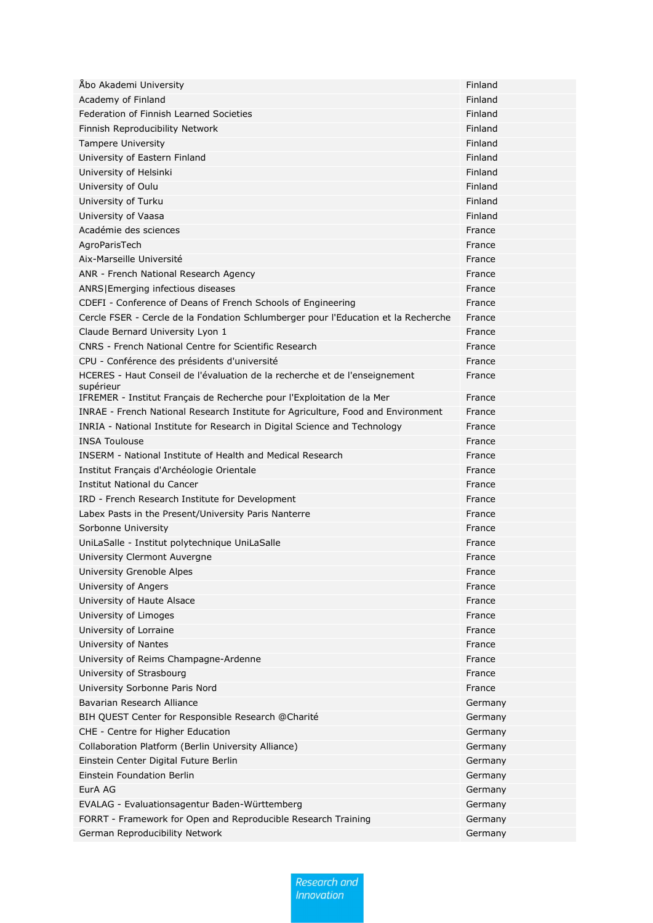| Åbo Akademi University                                                                  | Finland |
|-----------------------------------------------------------------------------------------|---------|
| Academy of Finland                                                                      | Finland |
| Federation of Finnish Learned Societies                                                 | Finland |
| Finnish Reproducibility Network                                                         | Finland |
| <b>Tampere University</b>                                                               | Finland |
| University of Eastern Finland                                                           | Finland |
| University of Helsinki                                                                  | Finland |
| University of Oulu                                                                      | Finland |
| University of Turku                                                                     | Finland |
| University of Vaasa                                                                     | Finland |
| Académie des sciences                                                                   | France  |
| AgroParisTech                                                                           | France  |
| Aix-Marseille Université                                                                | France  |
| ANR - French National Research Agency                                                   | France  |
| ANRS Emerging infectious diseases                                                       | France  |
| CDEFI - Conference of Deans of French Schools of Engineering                            | France  |
| Cercle FSER - Cercle de la Fondation Schlumberger pour l'Education et la Recherche      | France  |
| Claude Bernard University Lyon 1                                                        | France  |
| CNRS - French National Centre for Scientific Research                                   | France  |
| CPU - Conférence des présidents d'université                                            | France  |
| HCERES - Haut Conseil de l'évaluation de la recherche et de l'enseignement<br>supérieur | France  |
| IFREMER - Institut Français de Recherche pour l'Exploitation de la Mer                  | France  |
| INRAE - French National Research Institute for Agriculture, Food and Environment        | France  |
| INRIA - National Institute for Research in Digital Science and Technology               | France  |
| <b>INSA Toulouse</b>                                                                    | France  |
| INSERM - National Institute of Health and Medical Research                              | France  |
| Institut Français d'Archéologie Orientale                                               | France  |
| Institut National du Cancer                                                             | France  |
| IRD - French Research Institute for Development                                         | France  |
| Labex Pasts in the Present/University Paris Nanterre                                    | France  |
| Sorbonne University                                                                     | France  |
| UniLaSalle - Institut polytechnique UniLaSalle                                          | France  |
| University Clermont Auvergne                                                            | France  |
| University Grenoble Alpes                                                               | France  |
| University of Angers                                                                    | France  |
| University of Haute Alsace                                                              | France  |
| University of Limoges                                                                   | France  |
| University of Lorraine                                                                  | France  |
| University of Nantes                                                                    | France  |
| University of Reims Champagne-Ardenne                                                   | France  |
| University of Strasbourg                                                                | France  |
| University Sorbonne Paris Nord                                                          | France  |
| Bavarian Research Alliance                                                              | Germany |
| BIH QUEST Center for Responsible Research @Charité                                      | Germany |
| CHE - Centre for Higher Education                                                       | Germany |
| Collaboration Platform (Berlin University Alliance)                                     | Germany |
| Einstein Center Digital Future Berlin                                                   | Germany |
| Einstein Foundation Berlin                                                              | Germany |
| EurA AG                                                                                 | Germany |
| EVALAG - Evaluationsagentur Baden-Württemberg                                           | Germany |
| FORRT - Framework for Open and Reproducible Research Training                           | Germany |
| German Reproducibility Network                                                          | Germany |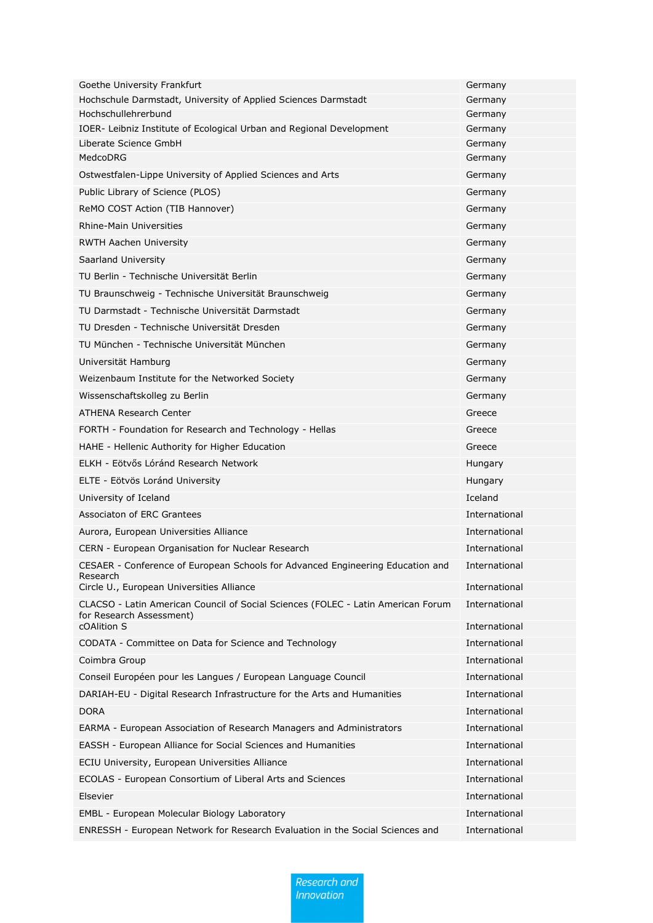| Goethe University Frankfurt                                                                                  | Germany            |
|--------------------------------------------------------------------------------------------------------------|--------------------|
| Hochschule Darmstadt, University of Applied Sciences Darmstadt                                               | Germany            |
| Hochschullehrerbund                                                                                          | Germany            |
| IOER- Leibniz Institute of Ecological Urban and Regional Development                                         | Germany            |
| Liberate Science GmbH<br>MedcoDRG                                                                            | Germany<br>Germany |
|                                                                                                              |                    |
| Ostwestfalen-Lippe University of Applied Sciences and Arts                                                   | Germany            |
| Public Library of Science (PLOS)                                                                             | Germany            |
| ReMO COST Action (TIB Hannover)                                                                              | Germany            |
| <b>Rhine-Main Universities</b>                                                                               | Germany            |
| <b>RWTH Aachen University</b>                                                                                | Germany            |
| Saarland University                                                                                          | Germany            |
| TU Berlin - Technische Universität Berlin                                                                    | Germany            |
| TU Braunschweig - Technische Universität Braunschweig                                                        | Germany            |
| TU Darmstadt - Technische Universität Darmstadt                                                              | Germany            |
| TU Dresden - Technische Universität Dresden                                                                  | Germany            |
| TU München - Technische Universität München                                                                  | Germany            |
| Universität Hamburg                                                                                          | Germany            |
| Weizenbaum Institute for the Networked Society                                                               | Germany            |
| Wissenschaftskolleg zu Berlin                                                                                | Germany            |
| <b>ATHENA Research Center</b>                                                                                | Greece             |
| FORTH - Foundation for Research and Technology - Hellas                                                      | Greece             |
| HAHE - Hellenic Authority for Higher Education                                                               | Greece             |
| ELKH - Eötvős Lóránd Research Network                                                                        | Hungary            |
| ELTE - Eötvös Loránd University                                                                              | Hungary            |
| University of Iceland                                                                                        | Iceland            |
| Associaton of ERC Grantees                                                                                   | International      |
| Aurora, European Universities Alliance                                                                       | International      |
| CERN - European Organisation for Nuclear Research                                                            | International      |
| CESAER - Conference of European Schools for Advanced Engineering Education and<br>Research                   | International      |
| Circle U., European Universities Alliance                                                                    | International      |
| CLACSO - Latin American Council of Social Sciences (FOLEC - Latin American Forum<br>for Research Assessment) | International      |
| cOAlition S                                                                                                  | International      |
| CODATA - Committee on Data for Science and Technology                                                        | International      |
| Coimbra Group                                                                                                | International      |
| Conseil Européen pour les Langues / European Language Council                                                | International      |
| DARIAH-EU - Digital Research Infrastructure for the Arts and Humanities                                      | International      |
| <b>DORA</b>                                                                                                  | International      |
| EARMA - European Association of Research Managers and Administrators                                         | International      |
| EASSH - European Alliance for Social Sciences and Humanities                                                 | International      |
| ECIU University, European Universities Alliance                                                              | International      |
| ECOLAS - European Consortium of Liberal Arts and Sciences                                                    | International      |
| Elsevier                                                                                                     | International      |
| EMBL - European Molecular Biology Laboratory                                                                 | International      |
| ENRESSH - European Network for Research Evaluation in the Social Sciences and                                | International      |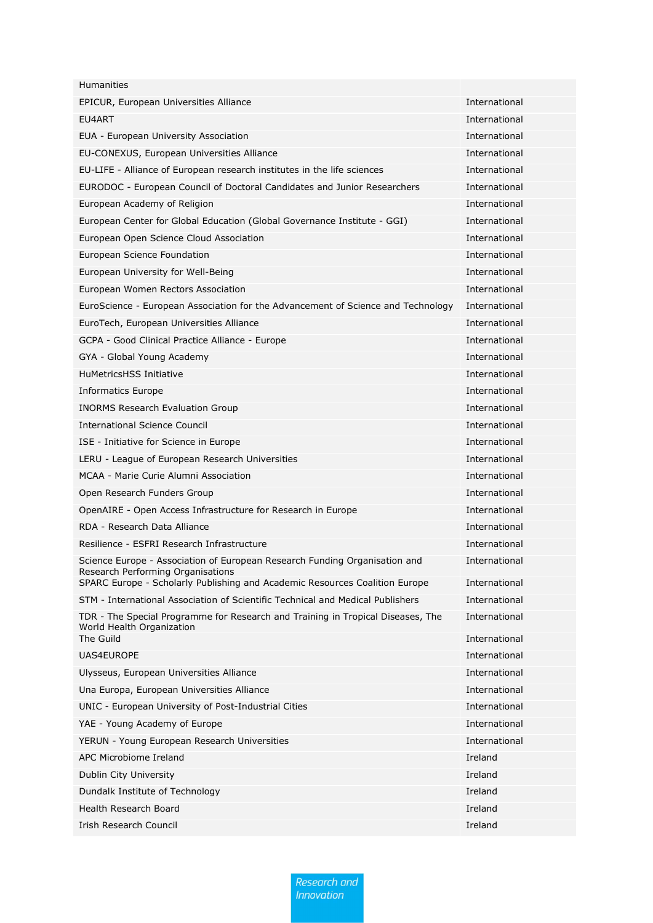| <b>Humanities</b>                                                                                               |               |
|-----------------------------------------------------------------------------------------------------------------|---------------|
| EPICUR, European Universities Alliance                                                                          | International |
| EU4ART                                                                                                          | International |
| EUA - European University Association                                                                           | International |
| EU-CONEXUS, European Universities Alliance                                                                      | International |
| EU-LIFE - Alliance of European research institutes in the life sciences                                         | International |
| EURODOC - European Council of Doctoral Candidates and Junior Researchers                                        | International |
| European Academy of Religion                                                                                    | International |
| European Center for Global Education (Global Governance Institute - GGI)                                        | International |
| European Open Science Cloud Association                                                                         | International |
| European Science Foundation                                                                                     | International |
| European University for Well-Being                                                                              | International |
| European Women Rectors Association                                                                              | International |
| EuroScience - European Association for the Advancement of Science and Technology                                | International |
| EuroTech, European Universities Alliance                                                                        | International |
| GCPA - Good Clinical Practice Alliance - Europe                                                                 | International |
| GYA - Global Young Academy                                                                                      | International |
| <b>HuMetricsHSS Initiative</b>                                                                                  | International |
| Informatics Europe                                                                                              | International |
| <b>INORMS Research Evaluation Group</b>                                                                         | International |
| <b>International Science Council</b>                                                                            | International |
| ISE - Initiative for Science in Europe                                                                          | International |
| LERU - League of European Research Universities                                                                 | International |
| MCAA - Marie Curie Alumni Association                                                                           | International |
| Open Research Funders Group                                                                                     | International |
| OpenAIRE - Open Access Infrastructure for Research in Europe                                                    | International |
| RDA - Research Data Alliance                                                                                    | International |
| Resilience - ESFRI Research Infrastructure                                                                      | International |
| Science Europe - Association of European Research Funding Organisation and<br>Research Performing Organisations | International |
| SPARC Europe - Scholarly Publishing and Academic Resources Coalition Europe                                     | International |
| STM - International Association of Scientific Technical and Medical Publishers                                  | International |
| TDR - The Special Programme for Research and Training in Tropical Diseases, The<br>World Health Organization    | International |
| The Guild                                                                                                       | International |
| UAS4EUROPE                                                                                                      | International |
| Ulysseus, European Universities Alliance                                                                        | International |
| Una Europa, European Universities Alliance                                                                      | International |
| UNIC - European University of Post-Industrial Cities                                                            | International |
| YAE - Young Academy of Europe                                                                                   | International |
| YERUN - Young European Research Universities                                                                    | International |
| APC Microbiome Ireland                                                                                          | Ireland       |
| Dublin City University                                                                                          | Ireland       |
| Dundalk Institute of Technology                                                                                 | Ireland       |
| Health Research Board                                                                                           | Ireland       |
| Irish Research Council                                                                                          | Ireland       |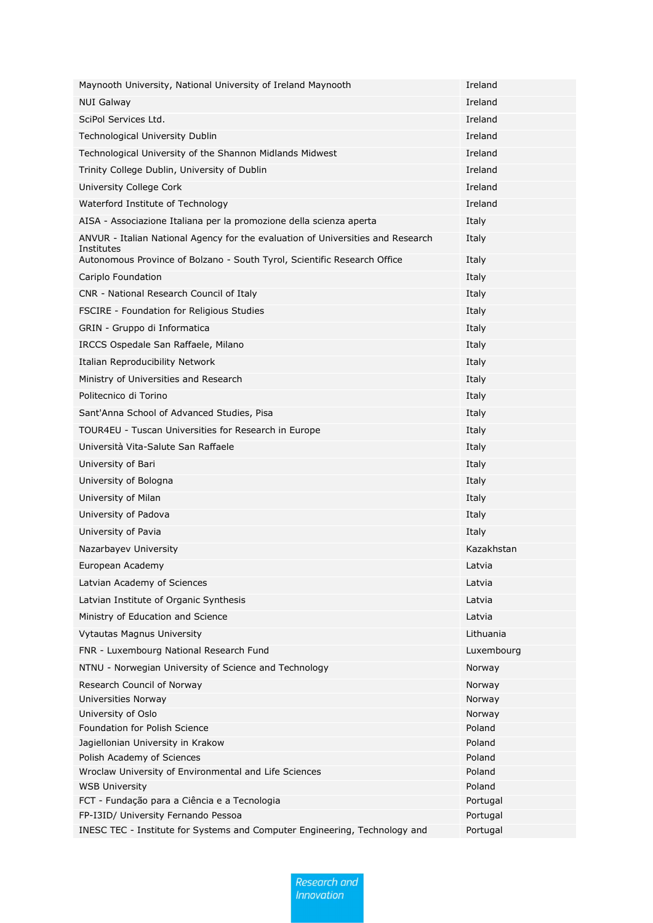| Maynooth University, National University of Ireland Maynooth                                  | Ireland    |
|-----------------------------------------------------------------------------------------------|------------|
| <b>NUI Galway</b>                                                                             | Ireland    |
| SciPol Services Ltd.                                                                          | Ireland    |
| Technological University Dublin                                                               | Ireland    |
| Technological University of the Shannon Midlands Midwest                                      | Ireland    |
| Trinity College Dublin, University of Dublin                                                  | Ireland    |
| University College Cork                                                                       | Ireland    |
| Waterford Institute of Technology                                                             | Ireland    |
| AISA - Associazione Italiana per la promozione della scienza aperta                           | Italy      |
| ANVUR - Italian National Agency for the evaluation of Universities and Research<br>Institutes | Italy      |
| Autonomous Province of Bolzano - South Tyrol, Scientific Research Office                      | Italy      |
| Cariplo Foundation                                                                            | Italy      |
| CNR - National Research Council of Italy                                                      | Italy      |
| FSCIRE - Foundation for Religious Studies                                                     | Italy      |
| GRIN - Gruppo di Informatica                                                                  | Italy      |
| IRCCS Ospedale San Raffaele, Milano                                                           | Italy      |
| Italian Reproducibility Network                                                               | Italy      |
| Ministry of Universities and Research                                                         | Italy      |
| Politecnico di Torino                                                                         | Italy      |
| Sant'Anna School of Advanced Studies, Pisa                                                    | Italy      |
| TOUR4EU - Tuscan Universities for Research in Europe                                          | Italy      |
| Università Vita-Salute San Raffaele                                                           | Italy      |
| University of Bari                                                                            | Italy      |
| University of Bologna                                                                         | Italy      |
| University of Milan                                                                           | Italy      |
| University of Padova                                                                          | Italy      |
| University of Pavia                                                                           | Italy      |
| Nazarbayev University                                                                         | Kazakhstan |
| European Academy                                                                              | Latvia     |
| Latvian Academy of Sciences                                                                   | Latvia     |
| Latvian Institute of Organic Synthesis                                                        | Latvia     |
| Ministry of Education and Science                                                             | Latvia     |
| <b>Vytautas Magnus University</b>                                                             | Lithuania  |
| FNR - Luxembourg National Research Fund                                                       | Luxembourg |
| NTNU - Norwegian University of Science and Technology                                         | Norway     |
| Research Council of Norway                                                                    | Norway     |
| Universities Norway                                                                           | Norway     |
| University of Oslo                                                                            | Norway     |
| Foundation for Polish Science                                                                 | Poland     |
| Jagiellonian University in Krakow                                                             | Poland     |
| Polish Academy of Sciences                                                                    | Poland     |
| Wroclaw University of Environmental and Life Sciences                                         | Poland     |
| <b>WSB University</b>                                                                         | Poland     |
| FCT - Fundação para a Ciência e a Tecnologia                                                  | Portugal   |
| FP-I3ID/ University Fernando Pessoa                                                           | Portugal   |
| INESC TEC - Institute for Systems and Computer Engineering, Technology and                    | Portugal   |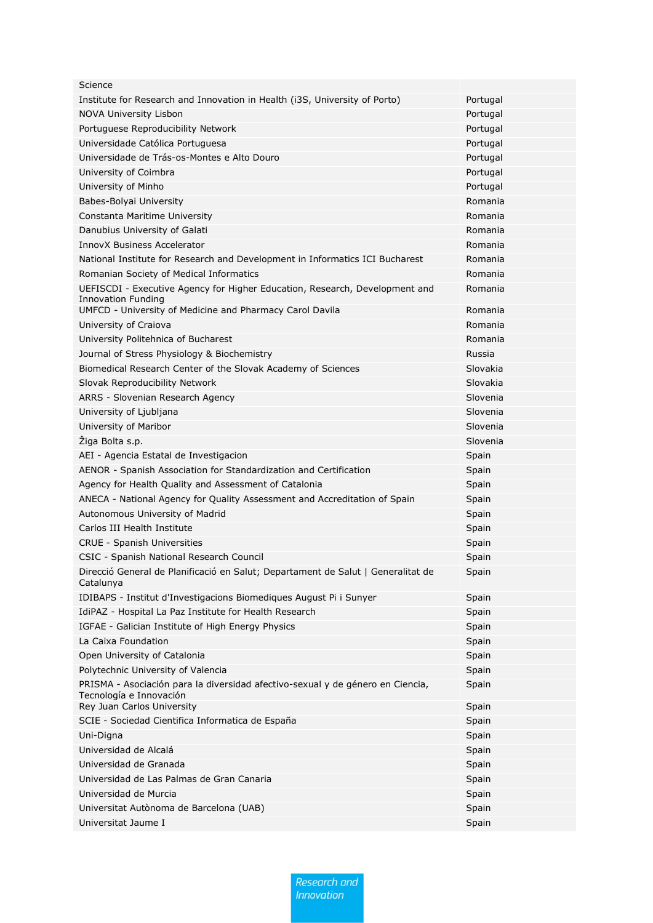| Science                                                                                                   |          |
|-----------------------------------------------------------------------------------------------------------|----------|
| Institute for Research and Innovation in Health (i3S, University of Porto)                                | Portugal |
| <b>NOVA University Lisbon</b>                                                                             | Portugal |
| Portuguese Reproducibility Network                                                                        | Portugal |
| Universidade Católica Portuguesa                                                                          | Portugal |
| Universidade de Trás-os-Montes e Alto Douro                                                               | Portugal |
| University of Coimbra                                                                                     | Portugal |
| University of Minho                                                                                       | Portugal |
| Babes-Bolyai University                                                                                   | Romania  |
| Constanta Maritime University                                                                             | Romania  |
| Danubius University of Galati                                                                             | Romania  |
| <b>InnovX Business Accelerator</b>                                                                        | Romania  |
| National Institute for Research and Development in Informatics ICI Bucharest                              | Romania  |
| Romanian Society of Medical Informatics                                                                   | Romania  |
| UEFISCDI - Executive Agency for Higher Education, Research, Development and                               | Romania  |
| Innovation Funding<br>UMFCD - University of Medicine and Pharmacy Carol Davila                            | Romania  |
| University of Craiova                                                                                     | Romania  |
|                                                                                                           | Romania  |
| University Politehnica of Bucharest                                                                       |          |
| Journal of Stress Physiology & Biochemistry                                                               | Russia   |
| Biomedical Research Center of the Slovak Academy of Sciences                                              | Slovakia |
| Slovak Reproducibility Network                                                                            | Slovakia |
| ARRS - Slovenian Research Agency                                                                          | Slovenia |
| University of Ljubljana                                                                                   | Slovenia |
| University of Maribor                                                                                     | Slovenia |
| Žiga Bolta s.p.                                                                                           | Slovenia |
| AEI - Agencia Estatal de Investigacion                                                                    | Spain    |
| AENOR - Spanish Association for Standardization and Certification                                         | Spain    |
| Agency for Health Quality and Assessment of Catalonia                                                     | Spain    |
| ANECA - National Agency for Quality Assessment and Accreditation of Spain                                 | Spain    |
| Autonomous University of Madrid                                                                           | Spain    |
| Carlos III Health Institute                                                                               | Spain    |
| <b>CRUE - Spanish Universities</b>                                                                        | Spain    |
| CSIC - Spanish National Research Council                                                                  | Spain    |
| Direcció General de Planificació en Salut; Departament de Salut   Generalitat de<br>Catalunya             | Spain    |
| IDIBAPS - Institut d'Investigacions Biomediques August Pi i Sunyer                                        | Spain    |
| IdiPAZ - Hospital La Paz Institute for Health Research                                                    | Spain    |
| IGFAE - Galician Institute of High Energy Physics                                                         | Spain    |
| La Caixa Foundation                                                                                       | Spain    |
| Open University of Catalonia                                                                              | Spain    |
| Polytechnic University of Valencia                                                                        | Spain    |
| PRISMA - Asociación para la diversidad afectivo-sexual y de género en Ciencia,<br>Tecnología e Innovación | Spain    |
| Rey Juan Carlos University                                                                                | Spain    |
| SCIE - Sociedad Cientifica Informatica de España                                                          | Spain    |
| Uni-Digna                                                                                                 | Spain    |
| Universidad de Alcalá                                                                                     | Spain    |
| Universidad de Granada                                                                                    | Spain    |
| Universidad de Las Palmas de Gran Canaria                                                                 | Spain    |
| Universidad de Murcia                                                                                     | Spain    |
| Universitat Autònoma de Barcelona (UAB)                                                                   | Spain    |
| Universitat Jaume I                                                                                       | Spain    |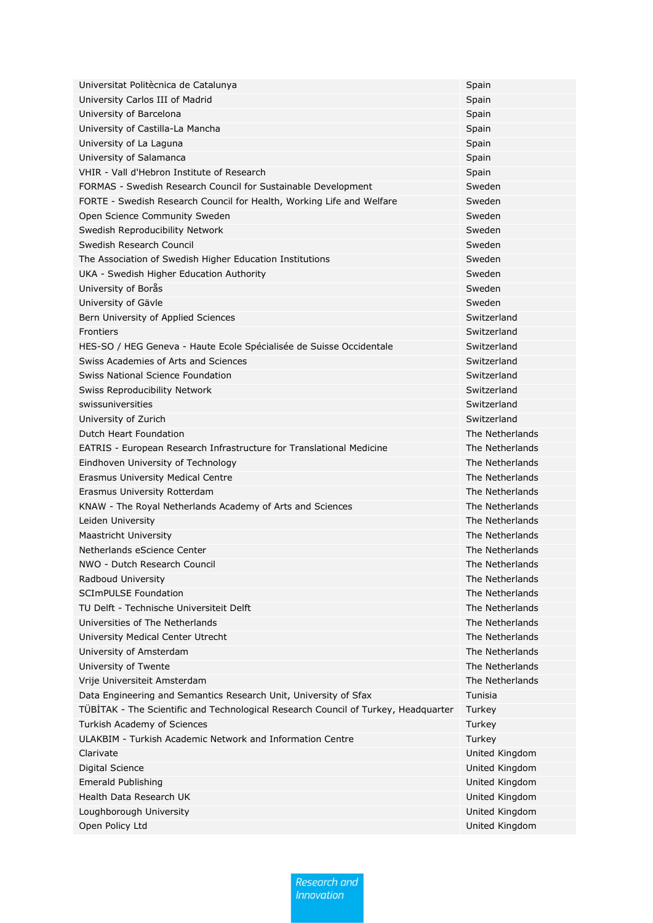| Universitat Politècnica de Catalunya                                               | Spain           |
|------------------------------------------------------------------------------------|-----------------|
| University Carlos III of Madrid                                                    | Spain           |
| University of Barcelona                                                            | Spain           |
| University of Castilla-La Mancha                                                   | Spain           |
| University of La Laguna                                                            | Spain           |
| University of Salamanca                                                            | Spain           |
| VHIR - Vall d'Hebron Institute of Research                                         | Spain           |
| FORMAS - Swedish Research Council for Sustainable Development                      | Sweden          |
| FORTE - Swedish Research Council for Health, Working Life and Welfare              | Sweden          |
| Open Science Community Sweden                                                      | Sweden          |
| Swedish Reproducibility Network                                                    | Sweden          |
| Swedish Research Council                                                           | Sweden          |
| The Association of Swedish Higher Education Institutions                           | Sweden          |
| UKA - Swedish Higher Education Authority                                           | Sweden          |
| University of Borås                                                                | Sweden          |
| University of Gävle                                                                | Sweden          |
| Bern University of Applied Sciences                                                | Switzerland     |
| <b>Frontiers</b>                                                                   | Switzerland     |
| HES-SO / HEG Geneva - Haute Ecole Spécialisée de Suisse Occidentale                | Switzerland     |
| Swiss Academies of Arts and Sciences                                               | Switzerland     |
| Swiss National Science Foundation                                                  | Switzerland     |
| Swiss Reproducibility Network                                                      | Switzerland     |
| swissuniversities                                                                  | Switzerland     |
| University of Zurich                                                               | Switzerland     |
| Dutch Heart Foundation                                                             | The Netherlands |
| EATRIS - European Research Infrastructure for Translational Medicine               | The Netherlands |
| Eindhoven University of Technology                                                 | The Netherlands |
| Erasmus University Medical Centre                                                  | The Netherlands |
| Erasmus University Rotterdam                                                       | The Netherlands |
| KNAW - The Royal Netherlands Academy of Arts and Sciences                          | The Netherlands |
| Leiden University                                                                  | The Netherlands |
| Maastricht University                                                              | The Netherlands |
| Netherlands eScience Center                                                        | The Netherlands |
| NWO - Dutch Research Council                                                       | The Netherlands |
| Radboud University                                                                 | The Netherlands |
| <b>SCImPULSE Foundation</b>                                                        | The Netherlands |
| TU Delft - Technische Universiteit Delft                                           | The Netherlands |
| Universities of The Netherlands                                                    | The Netherlands |
| University Medical Center Utrecht                                                  | The Netherlands |
| University of Amsterdam                                                            | The Netherlands |
| University of Twente                                                               | The Netherlands |
| Vrije Universiteit Amsterdam                                                       | The Netherlands |
| Data Engineering and Semantics Research Unit, University of Sfax                   | Tunisia         |
| TÜBİTAK - The Scientific and Technological Research Council of Turkey, Headquarter | Turkey          |
| Turkish Academy of Sciences                                                        | Turkey          |
| ULAKBIM - Turkish Academic Network and Information Centre                          | Turkey          |
| Clarivate                                                                          | United Kingdom  |
| Digital Science                                                                    | United Kingdom  |
| <b>Emerald Publishing</b>                                                          | United Kingdom  |
| Health Data Research UK                                                            | United Kingdom  |
| Loughborough University                                                            | United Kingdom  |
| Open Policy Ltd                                                                    | United Kingdom  |

letherlands letherlands letherlands letherlands letherlands letherlands letherlands Ietherlands letherlands Ietherlands **Ietherlands** Ietherlands Ietherlands Ietherlands Ietherlands letherlands d Kingdom d Kingdom d Kingdom d Kingdom d Kingdom d Kingdom